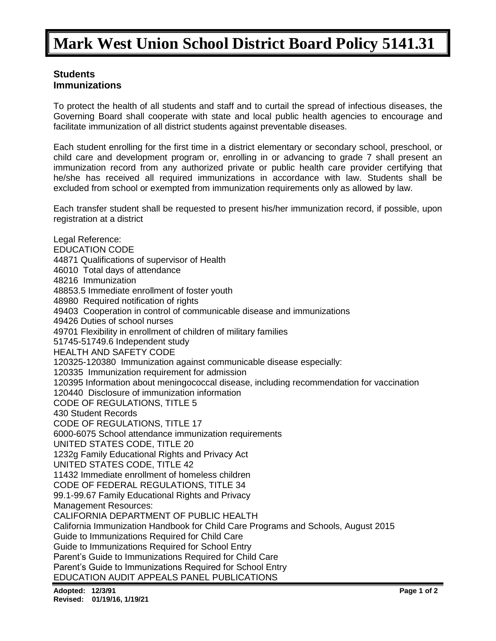## **Mark West Union School District Board Policy 5141.31**

## **Students Immunizations**

To protect the health of all students and staff and to curtail the spread of infectious diseases, the Governing Board shall cooperate with state and local public health agencies to encourage and facilitate immunization of all district students against preventable diseases.

Each student enrolling for the first time in a district elementary or secondary school, preschool, or child care and development program or, enrolling in or advancing to grade 7 shall present an immunization record from any authorized private or public health care provider certifying that he/she has received all required immunizations in accordance with law. Students shall be excluded from school or exempted from immunization requirements only as allowed by law.

Each transfer student shall be requested to present his/her immunization record, if possible, upon registration at a district

Legal Reference: EDUCATION CODE 44871 Qualifications of supervisor of Health 46010 Total days of attendance 48216 Immunization 48853.5 Immediate enrollment of foster youth 48980 Required notification of rights 49403 Cooperation in control of communicable disease and immunizations 49426 Duties of school nurses 49701 Flexibility in enrollment of children of military families 51745-51749.6 Independent study HEALTH AND SAFETY CODE 120325-120380 Immunization against communicable disease especially: 120335 Immunization requirement for admission 120395 Information about meningococcal disease, including recommendation for vaccination 120440 Disclosure of immunization information CODE OF REGULATIONS, TITLE 5 430 Student Records CODE OF REGULATIONS, TITLE 17 6000-6075 School attendance immunization requirements UNITED STATES CODE, TITLE 20 1232g Family Educational Rights and Privacy Act UNITED STATES CODE, TITLE 42 11432 Immediate enrollment of homeless children CODE OF FEDERAL REGULATIONS, TITLE 34 99.1-99.67 Family Educational Rights and Privacy Management Resources: CALIFORNIA DEPARTMENT OF PUBLIC HEALTH California Immunization Handbook for Child Care Programs and Schools, August 2015 Guide to Immunizations Required for Child Care Guide to Immunizations Required for School Entry Parent's Guide to Immunizations Required for Child Care Parent's Guide to Immunizations Required for School Entry EDUCATION AUDIT APPEALS PANEL PUBLICATIONS